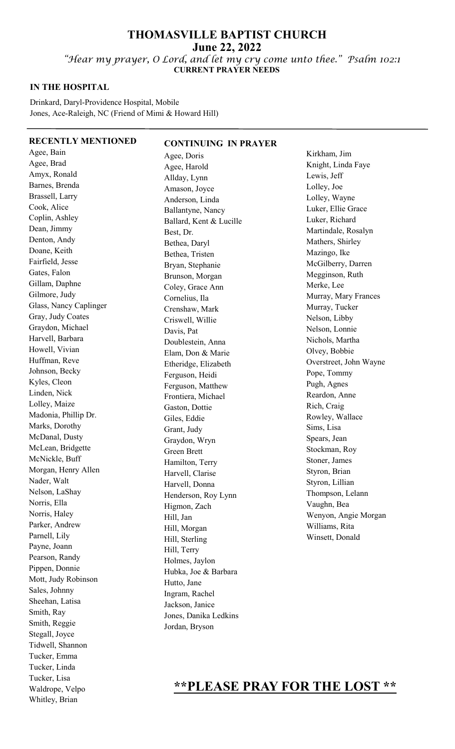# **THOMASVILLE BAPTIST CHURCH June 22, 2022**

"Hear my prayer, O Lord, and let my cry come unto thee." Psalm 102:1  **CURRENT PRAYER NEEDS** 

### **IN THE HOSPITAL**

Drinkard, Daryl-Providence Hospital, Mobile Jones, Ace-Raleigh, NC (Friend of Mimi & Howard Hill)

#### **RECENTLY MENTIONED**

Agee, Bain Agee, Brad Amyx, Ronald Barnes, Brenda Brassell, Larry Cook, Alice Coplin, Ashley Dean, Jimmy Denton, Andy Doane, Keith Fairfield, Jesse Gates, Falon Gillam, Daphne Gilmore, Judy Glass, Nancy Caplinger Gray, Judy Coates Graydon, Michael Harvell, Barbara Howell, Vivian Huffman, Reve Johnson, Becky Kyles, Cleon Linden, Nick Lolley, Maize Madonia, Phillip Dr. Marks, Dorothy McDanal, Dusty McLean, Bridgette McNickle, Buff Morgan, Henry Allen Nader, Walt Nelson, LaShay Norris, Ella Norris, Haley Parker, Andrew Parnell, Lily Payne, Joann Pearson, Randy Pippen, Donnie Mott, Judy Robinson Sales, Johnny Sheehan, Latisa Smith, Ray Smith, Reggie Stegall, Joyce Tidwell, Shannon Tucker, Emma Tucker, Linda Tucker, Lisa Waldrope, Velpo Whitley, Brian

**CONTINUING IN PRAYER**  Agee, Doris Agee, Harold Allday, Lynn Amason, Joyce Anderson, Linda Ballantyne, Nancy Ballard, Kent & Lucille Best, Dr. Bethea, Daryl Bethea, Tristen Bryan, Stephanie Brunson, Morgan Coley, Grace Ann Cornelius, Ila Crenshaw, Mark Criswell, Willie Davis, Pat Doublestein, Anna Elam, Don & Marie Etheridge, Elizabeth Ferguson, Heidi Ferguson, Matthew Frontiera, Michael Gaston, Dottie Giles, Eddie Grant, Judy Graydon, Wryn Green Brett Hamilton, Terry Harvell, Clarise Harvell, Donna Henderson, Roy Lynn Higmon, Zach Hill, Jan Hill, Morgan Hill, Sterling Hill, Terry Holmes, Jaylon Hubka, Joe & Barbara Hutto, Jane Ingram, Rachel Jackson, Janice Jones, Danika Ledkins Jordan, Bryson

Kirkham, Jim Knight, Linda Faye Lewis, Jeff Lolley, Joe Lolley, Wayne Luker, Ellie Grace Luker, Richard Martindale, Rosalyn Mathers, Shirley Mazingo, Ike McGilberry, Darren Megginson, Ruth Merke, Lee Murray, Mary Frances Murray, Tucker Nelson, Libby Nelson, Lonnie Nichols, Martha Olvey, Bobbie Overstreet, John Wayne Pope, Tommy Pugh, Agnes Reardon, Anne Rich, Craig Rowley, Wallace Sims, Lisa Spears, Jean Stockman, Roy Stoner, James Styron, Brian Styron, Lillian Thompson, Lelann Vaughn, Bea Wenyon, Angie Morgan Williams, Rita Winsett, Donald

# **\*\*PLEASE PRAY FOR THE LOST \*\***